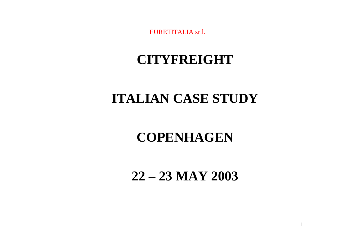## **CITYFREIGHT**

## **ITALIAN CASE STUDY**

## **COPENHAGEN**

### **22 – 23 MAY 2003**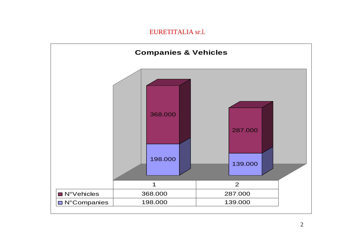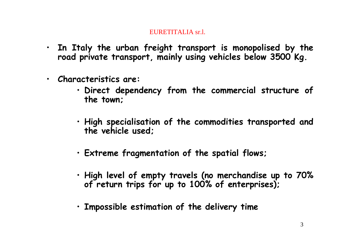- **In Italy the urban freight transport is monopolised by the road private transport, mainly using vehicles below 3500 Kg.**
- **Characteristics are:**
	- **Direct dependency from the commercial structure of the town;**
	- **High specialisation of the commodities transported and the vehicle used;**
	- **Extreme fragmentation of the spatial flows;**
	- **High level of empty travels (no merchandise up to 70% of return trips for up to 100% of enterprises);**
	- **Impossible estimation of the delivery time**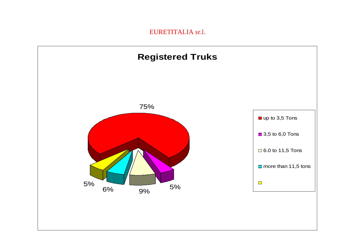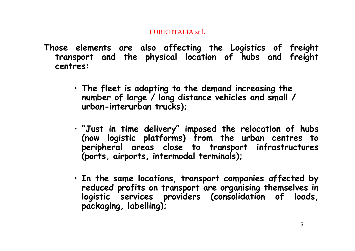- **Those elements are also affecting the Logistics of freight transport and the physical location of hubs and freight centres:** 
	- **The fleet is adapting to the demand increasing the number of large / long distance vehicles and small / urban-interurban trucks);**
	- **"Just in time delivery" imposed the relocation of hubs (now logistic platforms) from the urban centres to peripheral areas close to transport infrastructures(ports, airports, intermodal terminals);**
	- **In the same locations, transport companies affected by reduced profits on transport are organising themselves in logistic services providers (consolidation of loads, packaging, labelling);**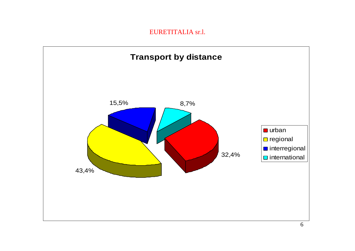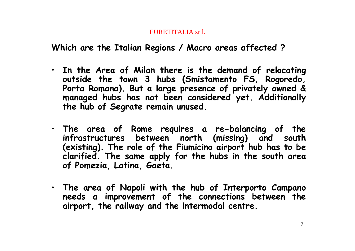**Which are the Italian Regions / Macro areas affected ?** 

- **In the Area of Milan there is the demand of relocating outside the town 3 hubs (Smistamento FS, Rogoredo, Porta Romana). But a large presence of privately owned & managed hubs has not been considered yet. Additionally the hub of Segrate remain unused.**
- **The area of Rome requires a re-balancing of the infrastructures between north (missing) and south (existing). The role of the Fiumicino airport hub has to be clarified. The same apply for the hubs in the south area of Pomezia, Latina, Gaeta.**
- **The area of Napoli with the hub of Interporto Campano needs a improvement of the connections between the airport, the railway and the intermodal centre.**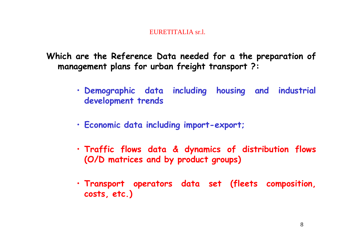**Which are the Reference Data needed for a the preparation of management plans for urban freight transport ?:**

- **Demographic data including housing and industrial development trends**
- **Economic data including import-export;**
- **Traffic flows data & dynamics of distribution flows(O/D matrices and by product groups)**
- **Transport operators data set (fleets composition, costs, etc.)**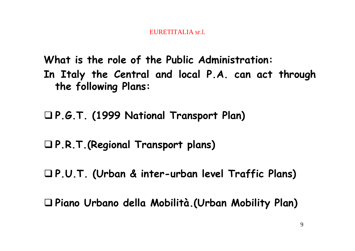**What is the role of the Public Administration:In Italy the Central and local P.A. can act throughthe following Plans:**

**P.G.T. (1999 National Transport Plan)**

**P.R.T.(Regional Transport plans)**

**P.U.T. (Urban & inter-urban level Traffic Plans)**

**Piano Urbano della Mobilità.(Urban Mobility Plan)**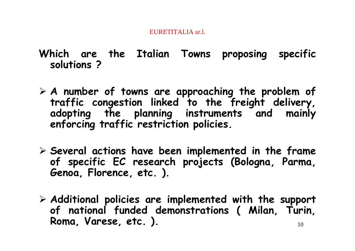- **Which are the Italian Towns proposing specific solutions ?**
- **A number of towns are approaching the problem of**  traffic congestion linked to the freight delivery, **adopting the planning instruments and mainly enforcing traffic restriction policies.**
- **Several actions have been implemented in the frame of specific EC research projects (Bologna, Parma, Genoa, Florence, etc. ).**
- 10- **Additional policies are implemented with the support of national funded demonstrations ( Milan, Turin, Roma, Varese, etc. ).**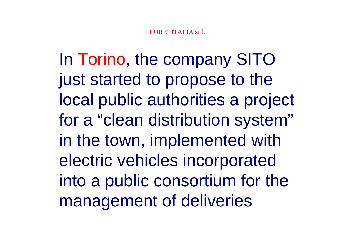In Torino, the company SITO just started to propose to the local public authorities a project for a "clean distribution system"in the town, implemented with electric vehicles incorporated into a public consortium for the management of deliveries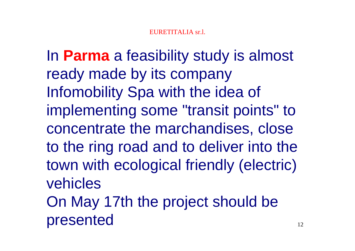In **Parma** a feasibility study is almost ready made by its company Infomobility Spa with the idea of implementing some "transit points" to concentrate the marchandises, close to the ring road and to deliver into the town with ecological friendly (electric) vehiclesOn May 17th the project should be

presented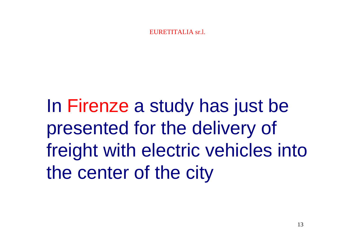In Firenze a study has just be presented for the delivery of freight with electric vehicles into the center of the city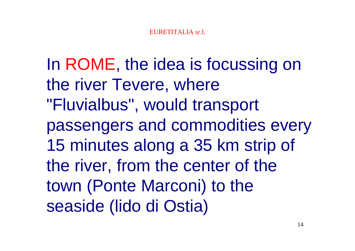In ROME, the idea is focussing on the river Tevere, where "Fluvialbus", would transport passengers and commodities every 15 minutes along a 35 km strip of the river, from the center of the town (Ponte Marconi) to the seaside (lido di Ostia)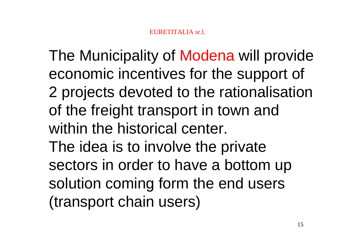The Municipality of Modena will provide economic incentives for the support of 2 projects devoted to the rationalisation of the freight transport in town and within the historical center.The idea is to involve the private sectors in order to have a bottom up solution coming form the end users (transport chain users)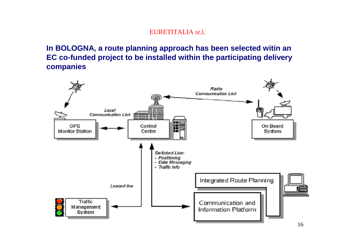**In BOLOGNA, a route planning approach has been selected witin an EC co-funded project to be installed within the participating deliverycompanies**

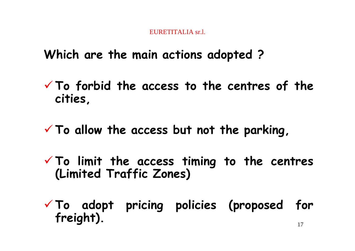**Which are the main actions adopted ?** 

- **To forbid the access to the centres of the cities,**
- **To allow the access but not the parking,**
- **To limit the access timing to the centres (Limited Traffic Zones)**

17 **To adopt pricing policies (proposed for freight).**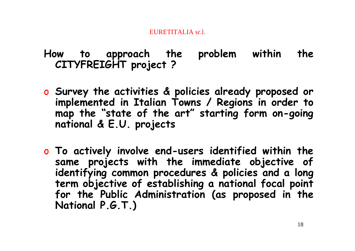**How to approach the problem within the CITYFREIGHT project ?** 

- o Survey the activities & policies already proposed or implemented in Italian Towns / Regions in order to **map the "state of the art" starting form on-going national & E.U. projects**
- o **To actively involve end-users identified within the same projects with the immediate objective of identifying common procedures & policies and a long term objective of establishing a national focal point for the Public Administration (as proposed in the National P.G.T.)**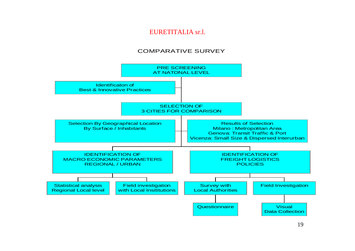#### COMPARATIVE SURVEY

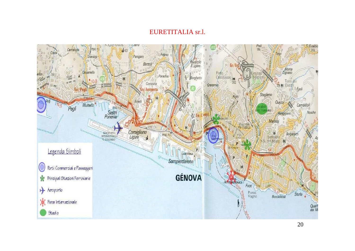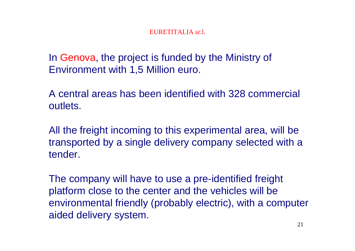In Genova, the project is funded by the Ministry of Environment with 1,5 Million euro.

A central areas has been identified with 328 commercial outlets.

All the freight incoming to this experimental area, will be transported by a single delivery company selected with a tender.

The company will have to use a pre-identified freight platform close to the center and the vehicles will be environmental friendly (probably electric), with a computer aided delivery system.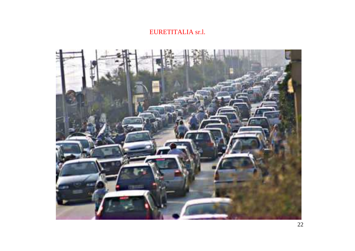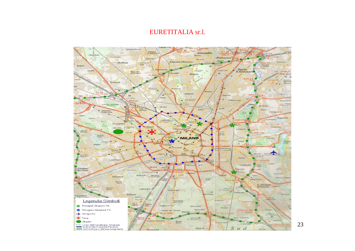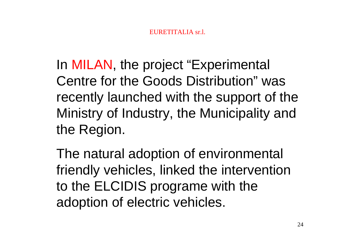In MILAN, the project "Experimental Centre for the Goods Distribution" was recently launched with the support of the Ministry of Industry, the Municipality and the Region.

The natural adoption of environmental friendly vehicles, linked the intervention to the ELCIDIS programe with the adoption of electric vehicles.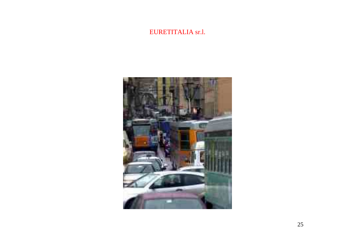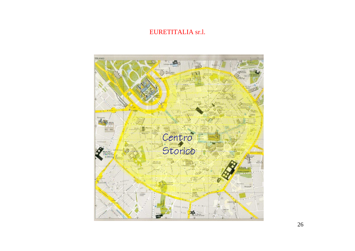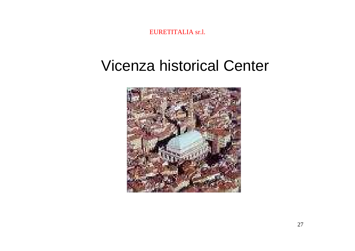# Vicenza historical Center